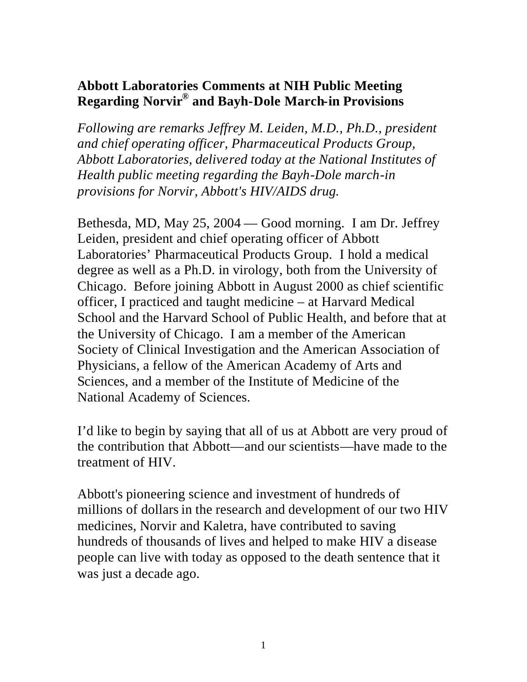## **Abbott Laboratories Comments at NIH Public Meeting Regarding Norvir® and Bayh-Dole March-in Provisions**

*Following are remarks Jeffrey M. Leiden, M.D., Ph.D., president and chief operating officer, Pharmaceutical Products Group, Abbott Laboratories, delivered today at the National Institutes of Health public meeting regarding the Bayh-Dole march-in provisions for Norvir, Abbott's HIV/AIDS drug.*

Bethesda, MD, May 25, 2004 — Good morning. I am Dr. Jeffrey Leiden, president and chief operating officer of Abbott Laboratories' Pharmaceutical Products Group. I hold a medical degree as well as a Ph.D. in virology, both from the University of Chicago. Before joining Abbott in August 2000 as chief scientific officer, I practiced and taught medicine – at Harvard Medical School and the Harvard School of Public Health, and before that at the University of Chicago. I am a member of the American Society of Clinical Investigation and the American Association of Physicians, a fellow of the American Academy of Arts and Sciences, and a member of the Institute of Medicine of the National Academy of Sciences.

I'd like to begin by saying that all of us at Abbott are very proud of the contribution that Abbott—and our scientists—have made to the treatment of HIV.

Abbott's pioneering science and investment of hundreds of millions of dollars in the research and development of our two HIV medicines, Norvir and Kaletra, have contributed to saving hundreds of thousands of lives and helped to make HIV a disease people can live with today as opposed to the death sentence that it was just a decade ago.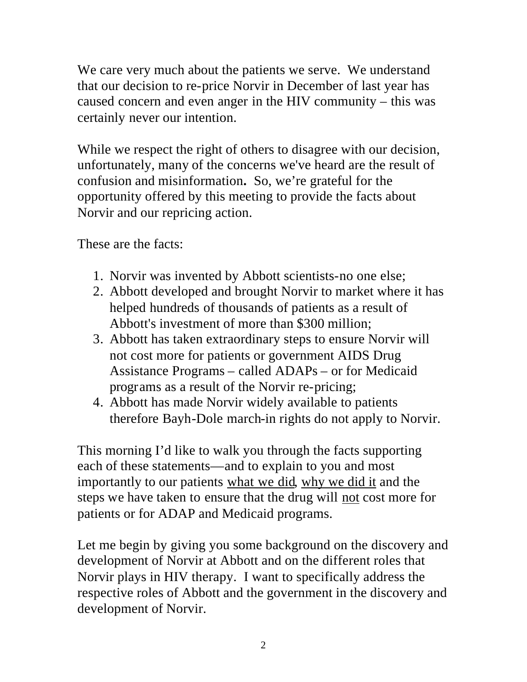We care very much about the patients we serve. We understand that our decision to re-price Norvir in December of last year has caused concern and even anger in the HIV community – this was certainly never our intention.

While we respect the right of others to disagree with our decision, unfortunately, many of the concerns we've heard are the result of confusion and misinformation**.** So, we're grateful for the opportunity offered by this meeting to provide the facts about Norvir and our repricing action.

These are the facts:

- 1. Norvir was invented by Abbott scientists-no one else;
- 2. Abbott developed and brought Norvir to market where it has helped hundreds of thousands of patients as a result of Abbott's investment of more than \$300 million;
- 3. Abbott has taken extraordinary steps to ensure Norvir will not cost more for patients or government AIDS Drug Assistance Programs – called ADAPs – or for Medicaid programs as a result of the Norvir re-pricing;
- 4. Abbott has made Norvir widely available to patients therefore Bayh-Dole march-in rights do not apply to Norvir.

This morning I'd like to walk you through the facts supporting each of these statements—and to explain to you and most importantly to our patients what we did, why we did it and the steps we have taken to ensure that the drug will not cost more for patients or for ADAP and Medicaid programs.

Let me begin by giving you some background on the discovery and development of Norvir at Abbott and on the different roles that Norvir plays in HIV therapy. I want to specifically address the respective roles of Abbott and the government in the discovery and development of Norvir.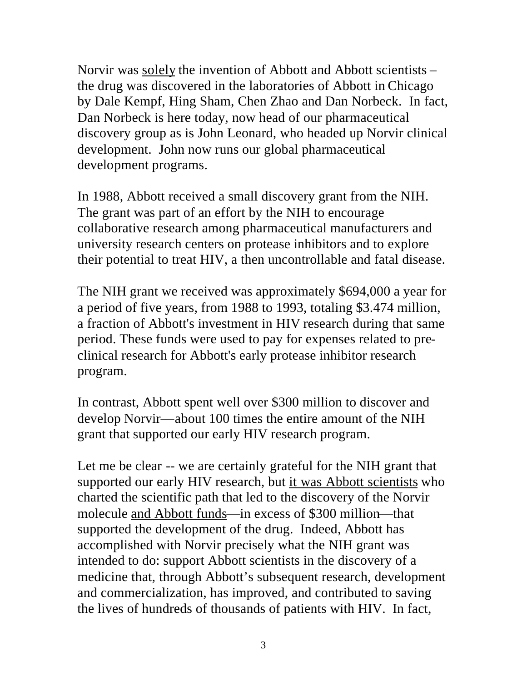Norvir was solely the invention of Abbott and Abbott scientists – the drug was discovered in the laboratories of Abbott in Chicago by Dale Kempf, Hing Sham, Chen Zhao and Dan Norbeck. In fact, Dan Norbeck is here today, now head of our pharmaceutical discovery group as is John Leonard, who headed up Norvir clinical development. John now runs our global pharmaceutical development programs.

In 1988, Abbott received a small discovery grant from the NIH. The grant was part of an effort by the NIH to encourage collaborative research among pharmaceutical manufacturers and university research centers on protease inhibitors and to explore their potential to treat HIV, a then uncontrollable and fatal disease.

The NIH grant we received was approximately \$694,000 a year for a period of five years, from 1988 to 1993, totaling \$3.474 million, a fraction of Abbott's investment in HIV research during that same period. These funds were used to pay for expenses related to preclinical research for Abbott's early protease inhibitor research program.

In contrast, Abbott spent well over \$300 million to discover and develop Norvir—about 100 times the entire amount of the NIH grant that supported our early HIV research program.

Let me be clear -- we are certainly grateful for the NIH grant that supported our early HIV research, but it was Abbott scientists who charted the scientific path that led to the discovery of the Norvir molecule and Abbott funds—in excess of \$300 million—that supported the development of the drug. Indeed, Abbott has accomplished with Norvir precisely what the NIH grant was intended to do: support Abbott scientists in the discovery of a medicine that, through Abbott's subsequent research, development and commercialization, has improved, and contributed to saving the lives of hundreds of thousands of patients with HIV. In fact,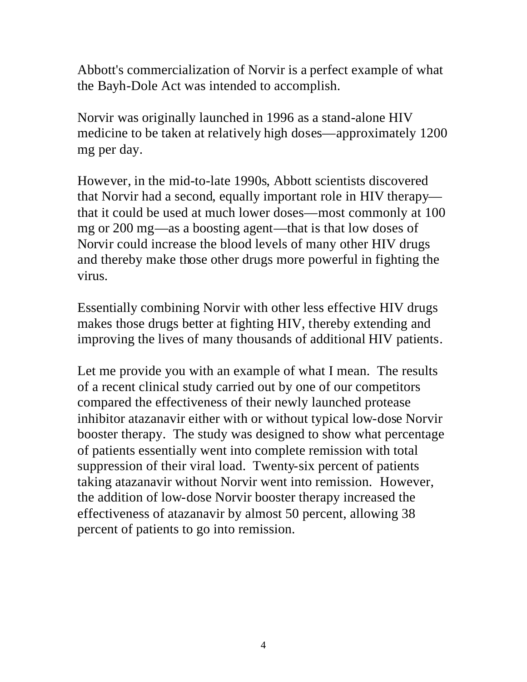Abbott's commercialization of Norvir is a perfect example of what the Bayh-Dole Act was intended to accomplish.

Norvir was originally launched in 1996 as a stand-alone HIV medicine to be taken at relatively high doses—approximately 1200 mg per day.

However, in the mid-to-late 1990s, Abbott scientists discovered that Norvir had a second, equally important role in HIV therapy that it could be used at much lower doses—most commonly at 100 mg or 200 mg—as a boosting agent—that is that low doses of Norvir could increase the blood levels of many other HIV drugs and thereby make those other drugs more powerful in fighting the virus.

Essentially combining Norvir with other less effective HIV drugs makes those drugs better at fighting HIV, thereby extending and improving the lives of many thousands of additional HIV patients.

Let me provide you with an example of what I mean. The results of a recent clinical study carried out by one of our competitors compared the effectiveness of their newly launched protease inhibitor atazanavir either with or without typical low-dose Norvir booster therapy. The study was designed to show what percentage of patients essentially went into complete remission with total suppression of their viral load. Twenty-six percent of patients taking atazanavir without Norvir went into remission. However, the addition of low-dose Norvir booster therapy increased the effectiveness of atazanavir by almost 50 percent, allowing 38 percent of patients to go into remission.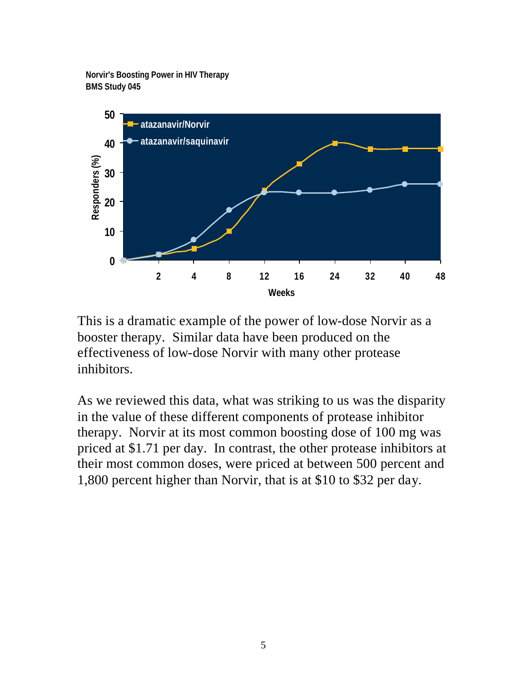**Norvir's Boosting Power in HIV Therapy BMS Study 045**



This is a dramatic example of the power of low-dose Norvir as a booster therapy. Similar data have been produced on the effectiveness of low-dose Norvir with many other protease inhibitors.

As we reviewed this data, what was striking to us was the disparity in the value of these different components of protease inhibitor therapy. Norvir at its most common boosting dose of 100 mg was priced at \$1.71 per day. In contrast, the other protease inhibitors at their most common doses, were priced at between 500 percent and 1,800 percent higher than Norvir, that is at \$10 to \$32 per day.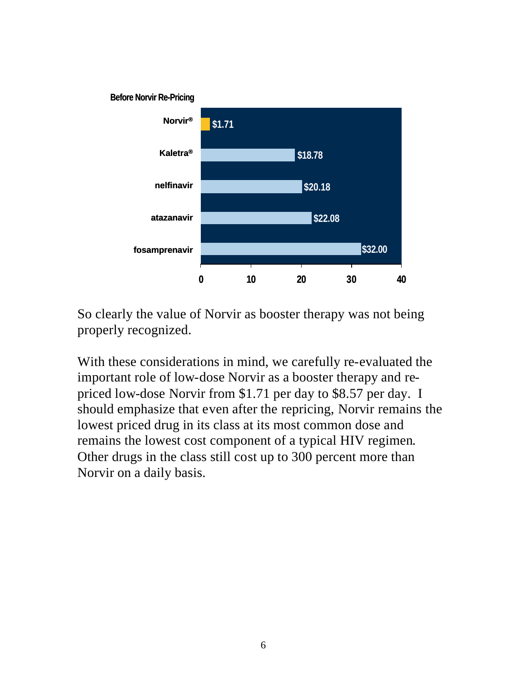

So clearly the value of Norvir as booster therapy was not being properly recognized.

With these considerations in mind, we carefully re-evaluated the important role of low-dose Norvir as a booster therapy and repriced low-dose Norvir from \$1.71 per day to \$8.57 per day. I should emphasize that even after the repricing, Norvir remains the lowest priced drug in its class at its most common dose and remains the lowest cost component of a typical HIV regimen. Other drugs in the class still cost up to 300 percent more than Norvir on a daily basis.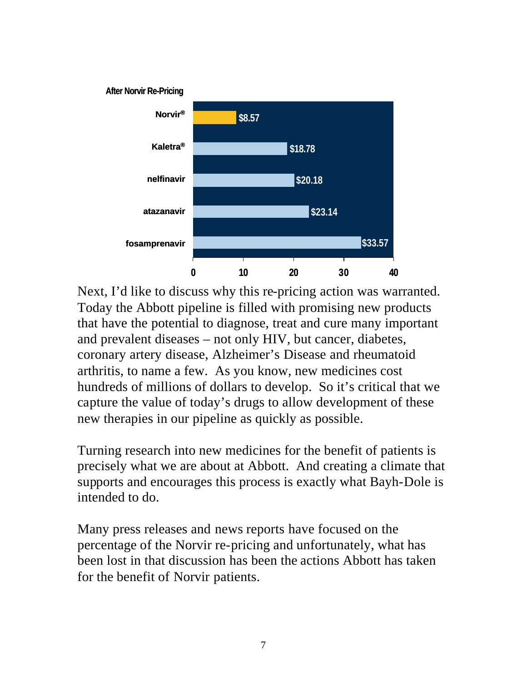

Next, I'd like to discuss why this re-pricing action was warranted. Today the Abbott pipeline is filled with promising new products that have the potential to diagnose, treat and cure many important and prevalent diseases – not only HIV, but cancer, diabetes, coronary artery disease, Alzheimer's Disease and rheumatoid arthritis, to name a few. As you know, new medicines cost hundreds of millions of dollars to develop. So it's critical that we capture the value of today's drugs to allow development of these new therapies in our pipeline as quickly as possible.

Turning research into new medicines for the benefit of patients is precisely what we are about at Abbott. And creating a climate that supports and encourages this process is exactly what Bayh-Dole is intended to do.

Many press releases and news reports have focused on the percentage of the Norvir re-pricing and unfortunately, what has been lost in that discussion has been the actions Abbott has taken for the benefit of Norvir patients.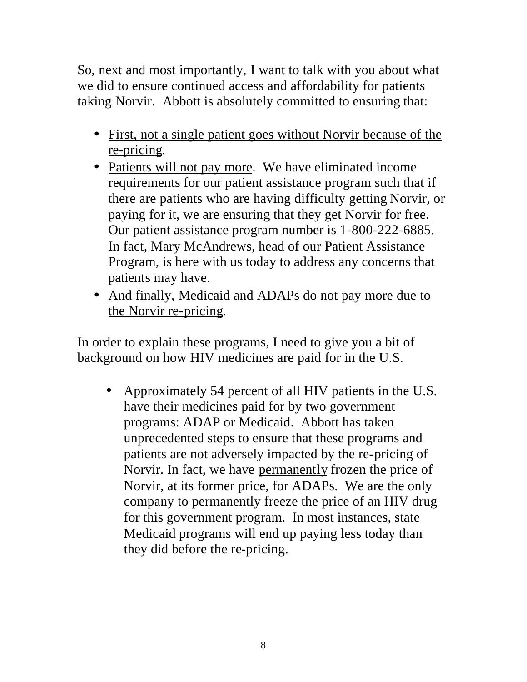So, next and most importantly, I want to talk with you about what we did to ensure continued access and affordability for patients taking Norvir. Abbott is absolutely committed to ensuring that:

- First, not a single patient goes without Norvir because of the re-pricing.
- Patients will not pay more. We have eliminated income requirements for our patient assistance program such that if there are patients who are having difficulty getting Norvir, or paying for it, we are ensuring that they get Norvir for free. Our patient assistance program number is 1-800-222-6885. In fact, Mary McAndrews, head of our Patient Assistance Program, is here with us today to address any concerns that patients may have.
- And finally, Medicaid and ADAPs do not pay more due to the Norvir re-pricing.

In order to explain these programs, I need to give you a bit of background on how HIV medicines are paid for in the U.S.

• Approximately 54 percent of all HIV patients in the U.S. have their medicines paid for by two government programs: ADAP or Medicaid. Abbott has taken unprecedented steps to ensure that these programs and patients are not adversely impacted by the re-pricing of Norvir. In fact, we have permanently frozen the price of Norvir, at its former price, for ADAPs. We are the only company to permanently freeze the price of an HIV drug for this government program. In most instances, state Medicaid programs will end up paying less today than they did before the re-pricing.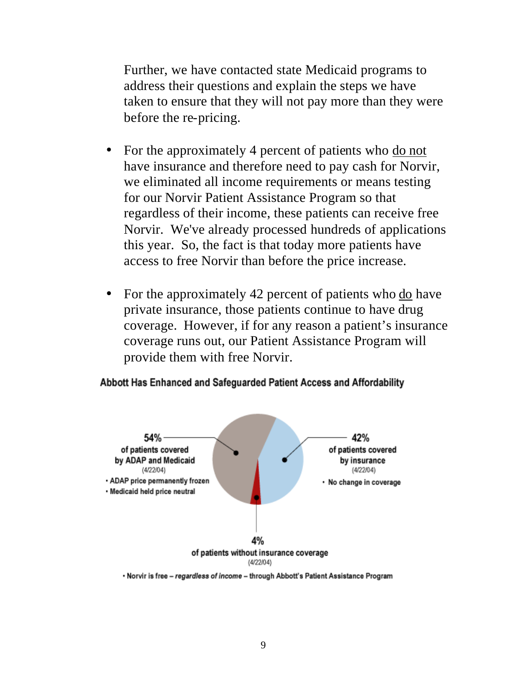Further, we have contacted state Medicaid programs to address their questions and explain the steps we have taken to ensure that they will not pay more than they were before the re-pricing.

- For the approximately 4 percent of patients who do not have insurance and therefore need to pay cash for Norvir, we eliminated all income requirements or means testing for our Norvir Patient Assistance Program so that regardless of their income, these patients can receive free Norvir. We've already processed hundreds of applications this year. So, the fact is that today more patients have access to free Norvir than before the price increase.
- For the approximately 42 percent of patients who do have private insurance, those patients continue to have drug coverage. However, if for any reason a patient's insurance coverage runs out, our Patient Assistance Program will provide them with free Norvir.

## Abbott Has Enhanced and Safeguarded Patient Access and Affordability



. Norvir is free - regardless of income - through Abbott's Patient Assistance Program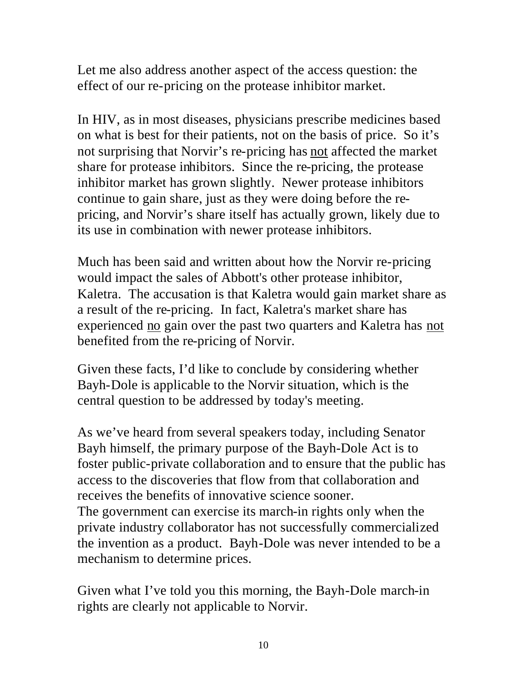Let me also address another aspect of the access question: the effect of our re-pricing on the protease inhibitor market.

In HIV, as in most diseases, physicians prescribe medicines based on what is best for their patients, not on the basis of price. So it's not surprising that Norvir's re-pricing has not affected the market share for protease inhibitors. Since the re-pricing, the protease inhibitor market has grown slightly. Newer protease inhibitors continue to gain share, just as they were doing before the repricing, and Norvir's share itself has actually grown, likely due to its use in combination with newer protease inhibitors.

Much has been said and written about how the Norvir re-pricing would impact the sales of Abbott's other protease inhibitor, Kaletra. The accusation is that Kaletra would gain market share as a result of the re-pricing. In fact, Kaletra's market share has experienced no gain over the past two quarters and Kaletra has not benefited from the re-pricing of Norvir.

Given these facts, I'd like to conclude by considering whether Bayh-Dole is applicable to the Norvir situation, which is the central question to be addressed by today's meeting.

As we've heard from several speakers today, including Senator Bayh himself, the primary purpose of the Bayh-Dole Act is to foster public-private collaboration and to ensure that the public has access to the discoveries that flow from that collaboration and receives the benefits of innovative science sooner. The government can exercise its march-in rights only when the private industry collaborator has not successfully commercialized the invention as a product. Bayh-Dole was never intended to be a mechanism to determine prices.

Given what I've told you this morning, the Bayh-Dole march-in rights are clearly not applicable to Norvir.